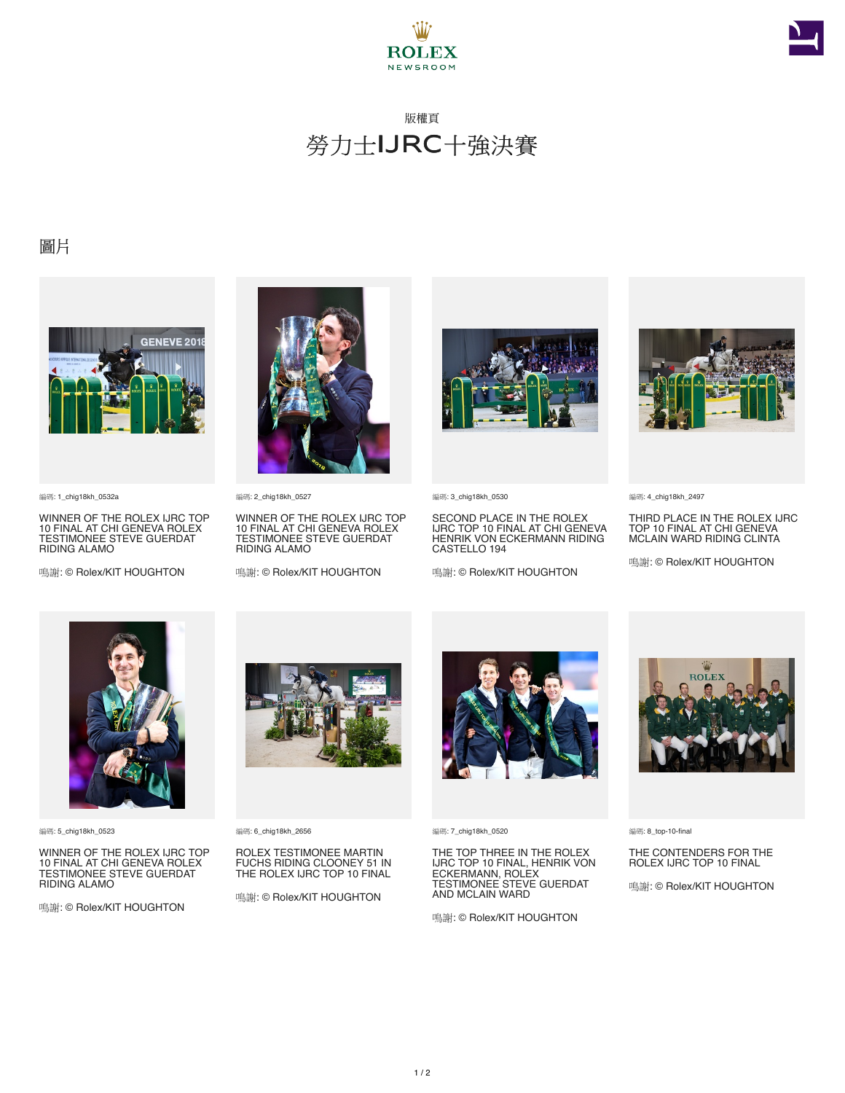



## 版權頁 勞力士IJRC十強決賽

## 圖片



編碼: 1\_chig18kh\_0532a

WINNER OF THE ROLEX IJRC TOP 10 FINAL AT CHI GENEVA ROLEX TESTIMONEE STEVE GUERDAT RIDING ALAMO

鳴謝: © Rolex/KIT HOUGHTON



編碼: 2\_chig18kh\_0527

WINNER OF THE ROLEX IJRC TOP 10 FINAL AT CHI GENEVA ROLEX TESTIMONEE STEVE GUERDAT RIDING ALAMO

鳴謝: © Rolex/KIT HOUGHTON



**編碼: 3 chig18kh 0530** 

SECOND PLACE IN THE ROLEX IJRC TOP 10 FINAL AT CHI GENEVA HENRIK VON ECKERMANN RIDING CASTELLO 194

鳴謝: © Rolex/KIT HOUGHTON



編碼: 4\_chig18kh\_2497

THIRD PLACE IN THE ROLEX IJRC TOP 10 FINAL AT CHI GENEVA MCLAIN WARD RIDING CLINTA

鳴謝: © Rolex/KIT HOUGHTON



編碼: 5\_chig18kh\_0523

WINNER OF THE ROLEX IJRC TOP 10 FINAL AT CHI GENEVA ROLEX TESTIMONEE STEVE GUERDAT RIDING ALAMO

鳴謝: © Rolex/KIT HOUGHTON



編碼: 6\_chig18kh\_2656

ROLEX TESTIMONEE MARTIN FUCHS RIDING CLOONEY 51 IN THE ROLEX IJRC TOP 10 FINAL

鳴謝: © Rolex/KIT HOUGHTON



編碼: 7\_chig18kh\_0520

THE TOP THREE IN THE ROLEX IJRC TOP 10 FINAL, HENRIK VON ECKERMANN, ROLEX TESTIMONEE STEVE GUERDAT AND MCLAIN WARD

鳴謝: © Rolex/KIT HOUGHTON



編碼: 8\_top-10-final

THE CONTENDERS FOR THE ROLEX IJRC TOP 10 FINAL

鳴謝: © Rolex/KIT HOUGHTON